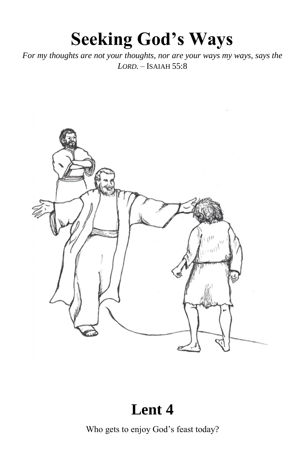# **Seeking God's Ways**

For my thoughts are not your thoughts, nor are your ways my ways, says the  $LORD. - ISAIAH$  55:8



### Lent 4

Who gets to enjoy God's feast today?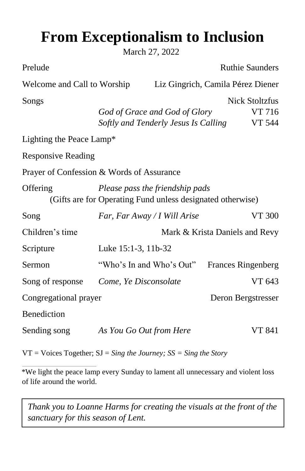## **From Exceptionalism to Inclusion**

March 27, 2022

|                                                                                               |  | <b>Ruthie Saunders</b>                                                                                                                                                                                       |  |  |  |  |
|-----------------------------------------------------------------------------------------------|--|--------------------------------------------------------------------------------------------------------------------------------------------------------------------------------------------------------------|--|--|--|--|
| Welcome and Call to Worship                                                                   |  | Liz Gingrich, Camila Pérez Diener                                                                                                                                                                            |  |  |  |  |
|                                                                                               |  | <b>Nick Stoltzfus</b><br>VT 716<br><b>VT 544</b>                                                                                                                                                             |  |  |  |  |
| Lighting the Peace Lamp*                                                                      |  |                                                                                                                                                                                                              |  |  |  |  |
| <b>Responsive Reading</b>                                                                     |  |                                                                                                                                                                                                              |  |  |  |  |
| Prayer of Confession & Words of Assurance                                                     |  |                                                                                                                                                                                                              |  |  |  |  |
| Please pass the friendship pads<br>(Gifts are for Operating Fund unless designated otherwise) |  |                                                                                                                                                                                                              |  |  |  |  |
|                                                                                               |  | VT 300                                                                                                                                                                                                       |  |  |  |  |
| Mark & Krista Daniels and Revy                                                                |  |                                                                                                                                                                                                              |  |  |  |  |
|                                                                                               |  |                                                                                                                                                                                                              |  |  |  |  |
|                                                                                               |  | <b>Frances Ringenberg</b>                                                                                                                                                                                    |  |  |  |  |
|                                                                                               |  | VT 643                                                                                                                                                                                                       |  |  |  |  |
| Congregational prayer                                                                         |  | Deron Bergstresser                                                                                                                                                                                           |  |  |  |  |
|                                                                                               |  |                                                                                                                                                                                                              |  |  |  |  |
|                                                                                               |  | VT 841                                                                                                                                                                                                       |  |  |  |  |
|                                                                                               |  | God of Grace and God of Glory<br>Softly and Tenderly Jesus Is Calling<br>Far, Far Away / I Will Arise<br>Luke 15:1-3, 11b-32<br>"Who's In and Who's Out"<br>Come, Ye Disconsolate<br>As You Go Out from Here |  |  |  |  |

VT = Voices Together; SJ = *Sing the Journey; SS = Sing the Story* 

\*We light the peace lamp every Sunday to lament all unnecessary and violent loss of life around the world.

*Thank you to Loanne Harms for creating the visuals at the front of the sanctuary for this season of Lent.*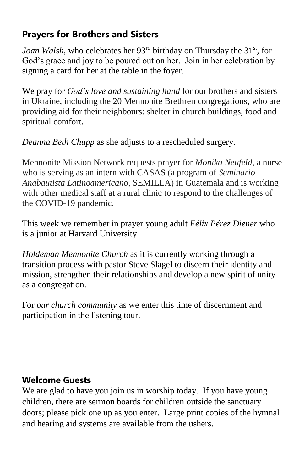#### **Prayers for Brothers and Sisters**

*Joan Walsh*, who celebrates her 93<sup>rd</sup> birthday on Thursday the 31<sup>st</sup>, for God's grace and joy to be poured out on her. Join in her celebration by signing a card for her at the table in the foyer.

We pray for *God's love and sustaining hand* for our brothers and sisters in Ukraine, including the 20 Mennonite Brethren congregations, who are providing aid for their neighbours: shelter in church buildings, food and spiritual comfort.

*Deanna Beth Chupp* as she adjusts to a rescheduled surgery.

Mennonite Mission Network requests prayer for *Monika Neufeld*, a nurse who is serving as an intern with CASAS (a program of *Seminario Anabautista Latinoamericano,* SEMILLA) in Guatemala and is working with other medical staff at a rural clinic to respond to the challenges of the COVID-19 pandemic.

This week we remember in prayer young adult *Félix Pérez Diener* who is a junior at Harvard University.

*Holdeman Mennonite Church* as it is currently working through a transition process with pastor Steve Slagel to discern their identity and mission, strengthen their relationships and develop a new spirit of unity as a congregation.

For *our church community* as we enter this time of discernment and participation in the listening tour.

#### **Welcome Guests**

We are glad to have you join us in worship today. If you have young children, there are sermon boards for children outside the sanctuary doors; please pick one up as you enter. Large print copies of the hymnal and hearing aid systems are available from the ushers.